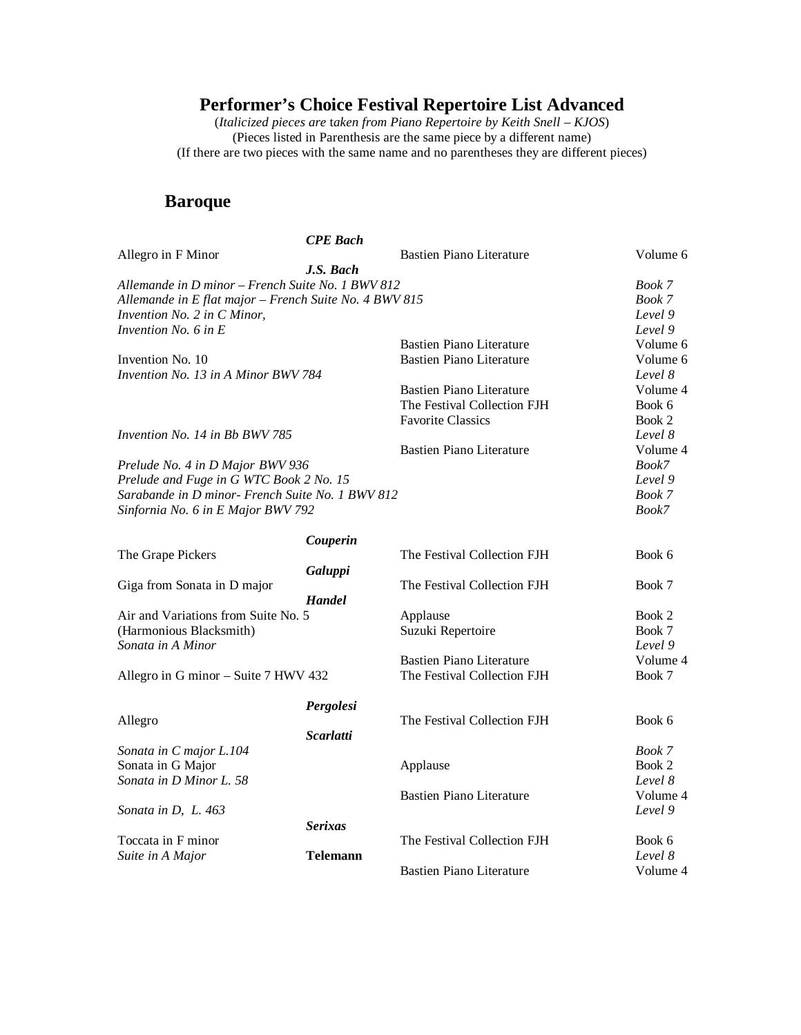(*Italicized pieces are* t*aken from Piano Repertoire by Keith Snell – KJOS*) (Pieces listed in Parenthesis are the same piece by a different name) (If there are two pieces with the same name and no parentheses they are different pieces)

#### **Baroque**

|                                                        | <b>CPE</b> Bach  |                                 |          |
|--------------------------------------------------------|------------------|---------------------------------|----------|
| Allegro in F Minor                                     |                  | <b>Bastien Piano Literature</b> | Volume 6 |
|                                                        | J.S. Bach        |                                 |          |
| Allemande in D minor - French Suite No. 1 BWV 812      |                  |                                 | Book 7   |
| Allemande in E flat major - French Suite No. 4 BWV 815 |                  |                                 | Book 7   |
| Invention No. 2 in C Minor,                            |                  |                                 | Level 9  |
| Invention No. 6 in E                                   |                  |                                 | Level 9  |
|                                                        |                  | <b>Bastien Piano Literature</b> | Volume 6 |
| Invention No. 10                                       |                  | <b>Bastien Piano Literature</b> | Volume 6 |
| Invention No. 13 in A Minor BWV 784                    |                  |                                 | Level 8  |
|                                                        |                  | <b>Bastien Piano Literature</b> | Volume 4 |
|                                                        |                  | The Festival Collection FJH     | Book 6   |
|                                                        |                  | <b>Favorite Classics</b>        | Book 2   |
| <i>Invention No. 14 in Bb BWV 785</i>                  |                  |                                 | Level 8  |
|                                                        |                  | <b>Bastien Piano Literature</b> | Volume 4 |
| Prelude No. 4 in D Major BWV 936                       |                  |                                 | Book7    |
| Prelude and Fuge in G WTC Book 2 No. 15                |                  |                                 | Level 9  |
| Sarabande in D minor- French Suite No. 1 BWV 812       |                  |                                 | Book 7   |
| Sinfornia No. 6 in E Major BWV 792                     |                  |                                 | Book7    |
|                                                        |                  |                                 |          |
|                                                        | Couperin         |                                 |          |
| The Grape Pickers                                      |                  | The Festival Collection FJH     | Book 6   |
|                                                        | Galuppi          |                                 |          |
| Giga from Sonata in D major                            |                  | The Festival Collection FJH     | Book 7   |
|                                                        | <b>Handel</b>    |                                 |          |
| Air and Variations from Suite No. 5                    |                  | Applause                        | Book 2   |
| (Harmonious Blacksmith)                                |                  | Suzuki Repertoire               | Book 7   |
| Sonata in A Minor                                      |                  |                                 | Level 9  |
|                                                        |                  | <b>Bastien Piano Literature</b> | Volume 4 |
| Allegro in G minor - Suite 7 HWV 432                   |                  | The Festival Collection FJH     | Book 7   |
|                                                        |                  |                                 |          |
|                                                        | Pergolesi        |                                 |          |
| Allegro                                                |                  | The Festival Collection FJH     | Book 6   |
|                                                        | <b>Scarlatti</b> |                                 |          |
| Sonata in C major L.104                                |                  |                                 | Book 7   |
| Sonata in G Major                                      |                  | Applause                        | Book 2   |
| Sonata in D Minor L. 58                                |                  |                                 | Level 8  |
|                                                        |                  | <b>Bastien Piano Literature</b> | Volume 4 |
| Sonata in D, L. 463                                    |                  |                                 | Level 9  |
|                                                        | <b>Serixas</b>   |                                 |          |
| Toccata in F minor                                     |                  | The Festival Collection FJH     | Book 6   |
| Suite in A Major                                       | <b>Telemann</b>  |                                 | Level 8  |
|                                                        |                  | <b>Bastien Piano Literature</b> | Volume 4 |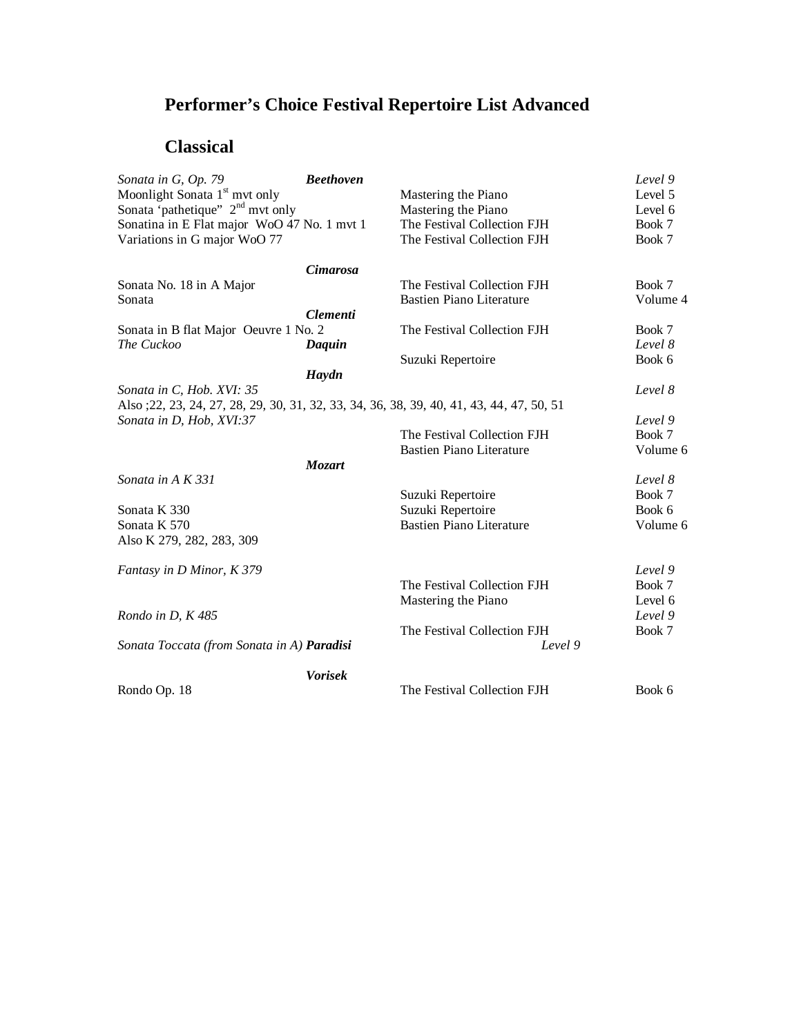### **Classical**

| Sonata in G, Op. 79                           | <b>Beethoven</b> |                                                                                           | Level 9  |
|-----------------------------------------------|------------------|-------------------------------------------------------------------------------------------|----------|
| Moonlight Sonata 1 <sup>st</sup> mvt only     |                  | Mastering the Piano                                                                       | Level 5  |
| Sonata 'pathetique'' 2 <sup>nd</sup> mvt only |                  | Mastering the Piano                                                                       | Level 6  |
| Sonatina in E Flat major WoO 47 No. 1 mvt 1   |                  | The Festival Collection FJH                                                               | Book 7   |
| Variations in G major WoO 77                  |                  | The Festival Collection FJH                                                               | Book 7   |
|                                               | <b>Cimarosa</b>  |                                                                                           |          |
| Sonata No. 18 in A Major                      |                  | The Festival Collection FJH                                                               | Book 7   |
| Sonata                                        |                  | <b>Bastien Piano Literature</b>                                                           | Volume 4 |
|                                               | <b>Clementi</b>  |                                                                                           |          |
| Sonata in B flat Major Oeuvre 1 No. 2         |                  | The Festival Collection FJH                                                               | Book 7   |
| The Cuckoo                                    | Daquin           |                                                                                           | Level 8  |
|                                               |                  | Suzuki Repertoire                                                                         | Book 6   |
|                                               | Haydn            |                                                                                           |          |
| Sonata in C, Hob. XVI: 35                     |                  |                                                                                           | Level 8  |
|                                               |                  | Also ; 22, 23, 24, 27, 28, 29, 30, 31, 32, 33, 34, 36, 38, 39, 40, 41, 43, 44, 47, 50, 51 |          |
| Sonata in D, Hob, XVI:37                      |                  |                                                                                           | Level 9  |
|                                               |                  | The Festival Collection FJH                                                               | Book 7   |
|                                               |                  | <b>Bastien Piano Literature</b>                                                           | Volume 6 |
|                                               | <b>Mozart</b>    |                                                                                           |          |
| Sonata in A K 331                             |                  |                                                                                           | Level 8  |
|                                               |                  | Suzuki Repertoire                                                                         | Book 7   |
| Sonata K 330                                  |                  | Suzuki Repertoire                                                                         | Book 6   |
| Sonata K 570                                  |                  | <b>Bastien Piano Literature</b>                                                           | Volume 6 |
| Also K 279, 282, 283, 309                     |                  |                                                                                           |          |
|                                               |                  |                                                                                           |          |
| Fantasy in D Minor, K 379                     |                  |                                                                                           | Level 9  |
|                                               |                  | The Festival Collection FJH                                                               | Book 7   |
|                                               |                  | Mastering the Piano                                                                       | Level 6  |
| Rondo in D, K 485                             |                  |                                                                                           | Level 9  |
|                                               |                  | The Festival Collection FJH                                                               | Book 7   |
| Sonata Toccata (from Sonata in A) Paradisi    |                  | Level 9                                                                                   |          |
|                                               | <b>Vorisek</b>   |                                                                                           |          |
| Rondo Op. 18                                  |                  | The Festival Collection FJH                                                               | Book 6   |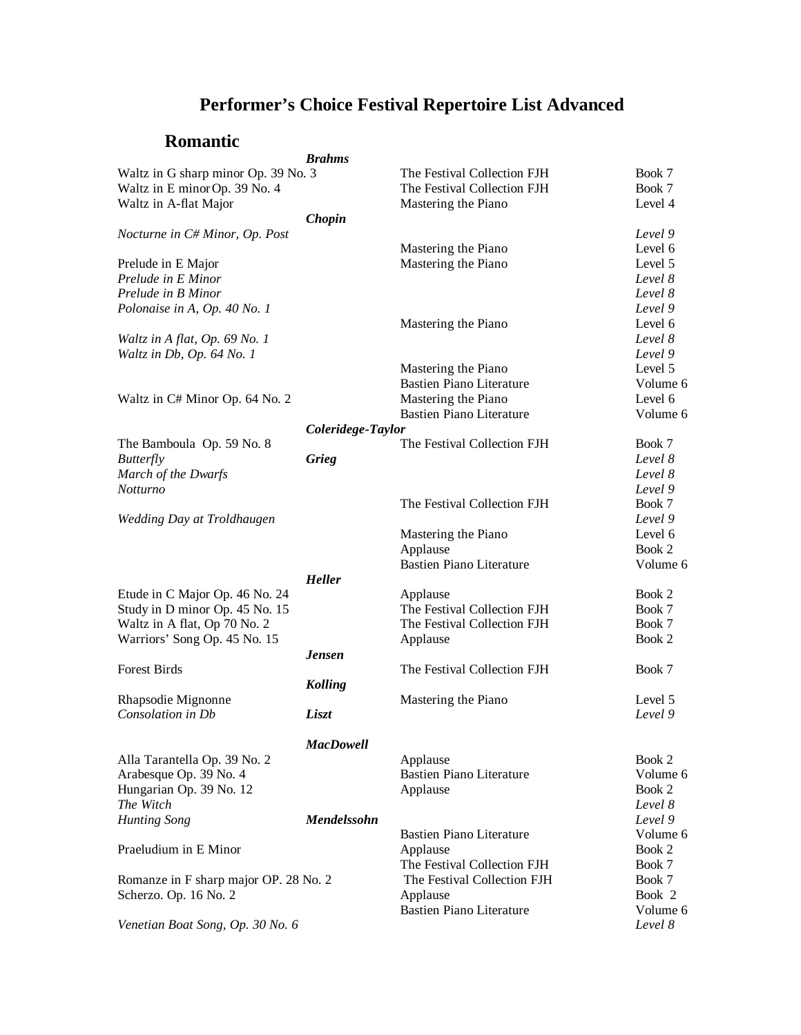#### **Romantic**

|                                       | <b>Brahms</b>     |                                 |          |
|---------------------------------------|-------------------|---------------------------------|----------|
| Waltz in G sharp minor Op. 39 No. 3   |                   | The Festival Collection FJH     | Book 7   |
| Waltz in E minor Op. 39 No. 4         |                   | The Festival Collection FJH     | Book 7   |
| Waltz in A-flat Major                 |                   | Mastering the Piano             | Level 4  |
|                                       | Chopin            |                                 |          |
| Nocturne in C# Minor, Op. Post        |                   |                                 | Level 9  |
|                                       |                   | Mastering the Piano             | Level 6  |
| Prelude in E Major                    |                   | Mastering the Piano             | Level 5  |
| Prelude in E Minor                    |                   |                                 | Level 8  |
| Prelude in B Minor                    |                   |                                 | Level 8  |
| Polonaise in A, Op. 40 No. 1          |                   |                                 | Level 9  |
|                                       |                   | Mastering the Piano             | Level 6  |
| Waltz in A flat, Op. 69 No. 1         |                   |                                 | Level 8  |
| Waltz in Db, Op. 64 No. 1             |                   |                                 | Level 9  |
|                                       |                   | Mastering the Piano             | Level 5  |
|                                       |                   | <b>Bastien Piano Literature</b> | Volume 6 |
| Waltz in C# Minor Op. 64 No. 2        |                   | Mastering the Piano             | Level 6  |
|                                       |                   | <b>Bastien Piano Literature</b> | Volume 6 |
|                                       | Coleridege-Taylor |                                 |          |
| The Bamboula Op. 59 No. 8             |                   | The Festival Collection FJH     | Book 7   |
| <b>Butterfly</b>                      | Grieg             |                                 | Level 8  |
| March of the Dwarfs                   |                   |                                 | Level 8  |
| Notturno                              |                   |                                 | Level 9  |
|                                       |                   | The Festival Collection FJH     | Book 7   |
| Wedding Day at Troldhaugen            |                   |                                 | Level 9  |
|                                       |                   | Mastering the Piano             | Level 6  |
|                                       |                   | Applause                        | Book 2   |
|                                       |                   | <b>Bastien Piano Literature</b> | Volume 6 |
|                                       | <b>Heller</b>     |                                 |          |
| Etude in C Major Op. 46 No. 24        |                   | Applause                        | Book 2   |
| Study in D minor Op. 45 No. 15        |                   | The Festival Collection FJH     | Book 7   |
| Waltz in A flat, Op 70 No. 2          |                   | The Festival Collection FJH     | Book 7   |
| Warriors' Song Op. 45 No. 15          |                   | Applause                        | Book 2   |
|                                       | <b>Jensen</b>     |                                 |          |
| <b>Forest Birds</b>                   |                   | The Festival Collection FJH     | Book 7   |
|                                       | <b>Kolling</b>    |                                 |          |
| Rhapsodie Mignonne                    |                   | Mastering the Piano             | Level 5  |
| Consolation in Db                     | Liszt             |                                 | Level 9  |
|                                       |                   |                                 |          |
|                                       | <b>MacDowell</b>  |                                 |          |
| Alla Tarantella Op. 39 No. 2          |                   | Applause                        | Book 2   |
| Arabesque Op. 39 No. 4                |                   | <b>Bastien Piano Literature</b> | Volume 6 |
| Hungarian Op. 39 No. 12               |                   | Applause                        | Book 2   |
| The Witch                             |                   |                                 | Level 8  |
| <b>Hunting Song</b>                   | Mendelssohn       |                                 | Level 9  |
|                                       |                   | <b>Bastien Piano Literature</b> | Volume 6 |
| Praeludium in E Minor                 |                   | Applause                        | Book 2   |
|                                       |                   | The Festival Collection FJH     | Book 7   |
| Romanze in F sharp major OP. 28 No. 2 |                   | The Festival Collection FJH     | Book 7   |
| Scherzo. Op. 16 No. 2                 |                   | Applause                        | Book 2   |
|                                       |                   | <b>Bastien Piano Literature</b> | Volume 6 |
| Venetian Boat Song, Op. 30 No. 6      |                   |                                 | Level 8  |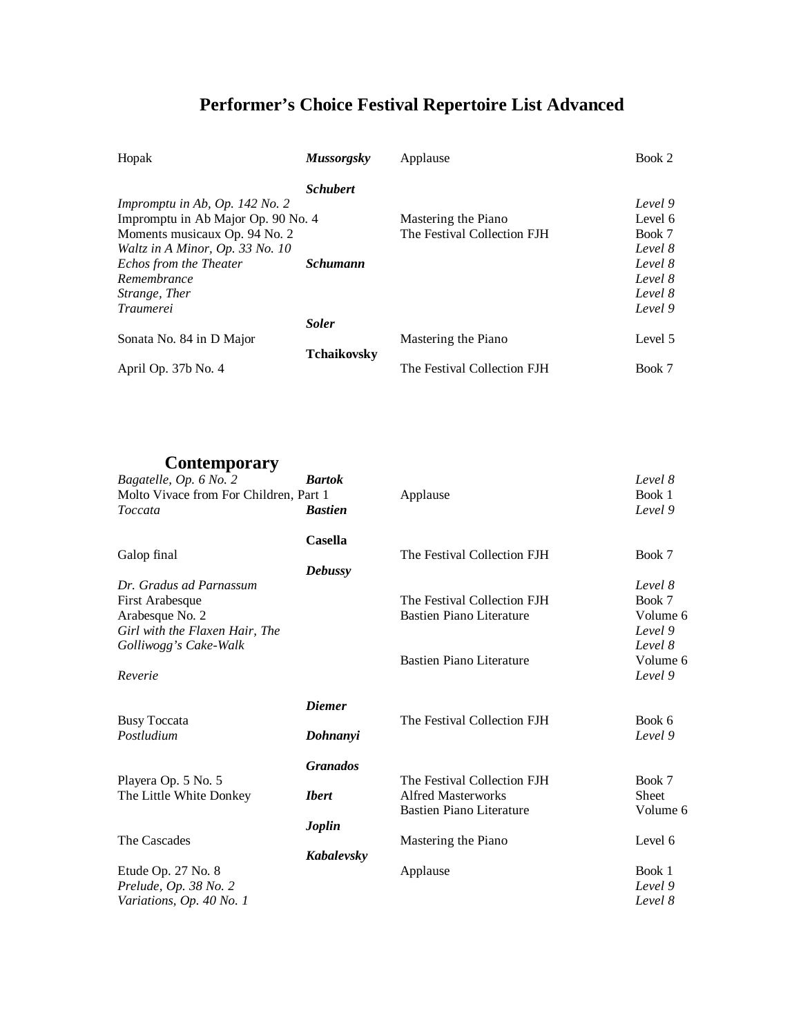| Hopak                              | <b>Mussorgsky</b>  | Applause                    | Book 2  |
|------------------------------------|--------------------|-----------------------------|---------|
|                                    | <b>Schubert</b>    |                             |         |
| Impromptu in Ab, Op. 142 No. 2     |                    |                             | Level 9 |
| Impromptu in Ab Major Op. 90 No. 4 |                    | Mastering the Piano         | Level 6 |
| Moments musicaux Op. 94 No. 2      |                    | The Festival Collection FJH | Book 7  |
| Waltz in A Minor, Op. 33 No. 10    |                    |                             | Level 8 |
| Echos from the Theater             | Schumann           |                             | Level 8 |
| Remembrance                        |                    |                             | Level 8 |
| Strange, Ther                      |                    |                             | Level 8 |
| <i>Traumerei</i>                   |                    |                             | Level 9 |
|                                    | <b>Soler</b>       |                             |         |
| Sonata No. 84 in D Major           |                    | Mastering the Piano         | Level 5 |
|                                    | <b>Tchaikovsky</b> |                             |         |
| April Op. 37b No. 4                |                    | The Festival Collection FJH | Book 7  |

**Contemporary**

| Bagatelle, Op. 6 No. 2                 | <b>Bartok</b>   |                                 | Level 8      |
|----------------------------------------|-----------------|---------------------------------|--------------|
| Molto Vivace from For Children, Part 1 |                 | Applause                        | Book 1       |
| Toccata                                | <b>Bastien</b>  |                                 | Level 9      |
|                                        | <b>Casella</b>  |                                 |              |
| Galop final                            |                 | The Festival Collection FJH     | Book 7       |
|                                        | <b>Debussy</b>  |                                 |              |
| Dr. Gradus ad Parnassum                |                 |                                 | Level 8      |
| First Arabesque                        |                 | The Festival Collection FJH     | Book 7       |
| Arabesque No. 2                        |                 | <b>Bastien Piano Literature</b> | Volume 6     |
| Girl with the Flaxen Hair, The         |                 |                                 | Level 9      |
| Golliwogg's Cake-Walk                  |                 |                                 | Level 8      |
|                                        |                 | <b>Bastien Piano Literature</b> | Volume 6     |
| Reverie                                |                 |                                 | Level 9      |
|                                        | <b>Diemer</b>   |                                 |              |
| <b>Busy Toccata</b>                    |                 | The Festival Collection FJH     | Book 6       |
| Postludium                             | Dohnanyi        |                                 | Level 9      |
|                                        | <b>Granados</b> |                                 |              |
| Playera Op. 5 No. 5                    |                 | The Festival Collection FJH     | Book 7       |
| The Little White Donkey                | <b>Ibert</b>    | <b>Alfred Masterworks</b>       | <b>Sheet</b> |
|                                        |                 | <b>Bastien Piano Literature</b> | Volume 6     |
|                                        | Joplin          |                                 |              |
| The Cascades                           |                 | Mastering the Piano             | Level 6      |
|                                        | Kabalevsky      |                                 |              |
| Etude Op. 27 No. 8                     |                 | Applause                        | Book 1       |
| Prelude, Op. 38 No. 2                  |                 |                                 | Level 9      |
| Variations, Op. 40 No. 1               |                 |                                 | Level 8      |